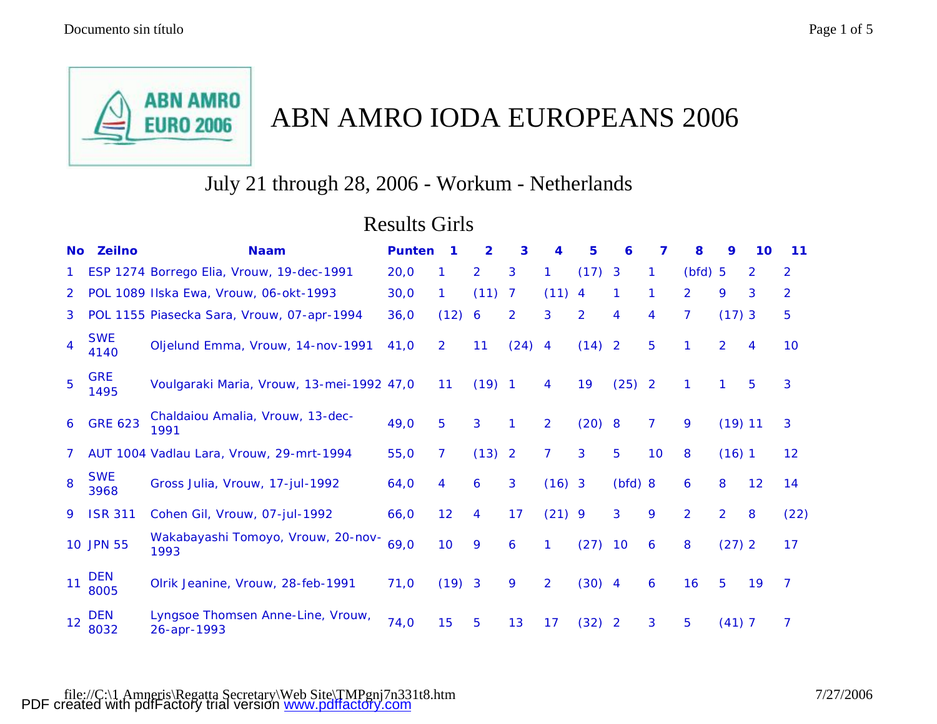

# ABN AMRO IODA EUROPEANS 2006

## July 21 through 28, 2006 - Workum - Netherlands

## Results Girls

| <b>No</b>      | <b>Zeilno</b>      | <b>Naam</b>                                      | <b>Punten</b> | 1              | $\overline{2}$ | 3              | 4              | 5              | 6              | 7              | 8                | 9              | 10             | 11             |
|----------------|--------------------|--------------------------------------------------|---------------|----------------|----------------|----------------|----------------|----------------|----------------|----------------|------------------|----------------|----------------|----------------|
|                |                    | ESP 1274 Borrego Elia, Vrouw, 19-dec-1991        | 20,0          | 1.             | $\overline{2}$ | 3              | 1              | (17)           | $\mathbf{3}$   | 1              | $(bfd)$ 5        |                | $\overline{2}$ | $\overline{2}$ |
| 2 <sup>1</sup> |                    | POL 1089 Ilska Ewa, Vrouw, 06-okt-1993           | 30,0          | 1.             | (11)           | 7              | $(11)$ 4       |                | 1              | 1              | $\overline{2}$   | 9              | 3              | $\overline{2}$ |
| 3.             |                    | POL 1155 Piasecka Sara, Vrouw, 07-apr-1994       | 36,0          | (12)           | 6              | $\overline{2}$ | 3              | $\overline{2}$ | 4              | 4              | 7                | $(17)$ 3       |                | 5              |
| 4              | <b>SWE</b><br>4140 | Oljelund Emma, Vrouw, 14-nov-1991                | 41,0          | $\overline{2}$ | 11             | (24)           | $\overline{4}$ | (14)           | $\overline{2}$ | 5              | 1                | $\overline{2}$ | 4              | 10             |
| 5              | <b>GRE</b><br>1495 | Voulgaraki Maria, Vrouw, 13-mei-1992 47,0        |               | 11             | $(19)$ 1       |                | 4              | 19             | (25)           | $\overline{2}$ | 1                |                | 5              | 3              |
| 6              | <b>GRE 623</b>     | Chaldaiou Amalia, Vrouw, 13-dec-<br>1991         | 49,0          | 5              | 3              | 1              | $\overline{2}$ | (20)           | 8              | 7              | 9                | $(19)$ 11      |                | 3              |
| 7              |                    | AUT 1004 Vadlau Lara, Vrouw, 29-mrt-1994         | 55,0          | $\overline{7}$ | (13)           | $\overline{2}$ | 7              | 3              | 5              | 10             | 8                | (16)1          |                | 12             |
| 8              | <b>SWE</b><br>3968 | Gross Julia, Vrouw, 17-jul-1992                  | 64,0          | 4              | 6              | 3              | $(16)$ 3       |                | (bfd) 8        |                | $\boldsymbol{6}$ | 8              | 12             | 14             |
| 9              | <b>ISR 311</b>     | Cohen Gil, Vrouw, 07-jul-1992                    | 66,0          | 12             | 4              | 17             | $(21)$ 9       |                | 3              | 9              | $\overline{2}$   | $\overline{2}$ | 8              | (22)           |
|                | 10 JPN 55          | Wakabayashi Tomoyo, Vrouw, 20-nov-<br>1993       | 69,0          | 10             | 9              | 6              | 1              | (27)           | 10             | 6              | 8                | (27) 2         |                | 17             |
| 11             | <b>DEN</b><br>8005 | Olrik Jeanine, Vrouw, 28-feb-1991                | 71,0          | $(19)$ 3       |                | 9              | $\overline{2}$ | (30)           | $\overline{4}$ | 6              | 16               | 5              | 19             | $\overline{7}$ |
| 12             | <b>DEN</b><br>8032 | Lyngsoe Thomsen Anne-Line, Vrouw,<br>26-apr-1993 | 74,0          | 15             | 5              | 13             | 17             | (32)           | $\overline{2}$ | 3              | 5                | (41) 7         |                | 7              |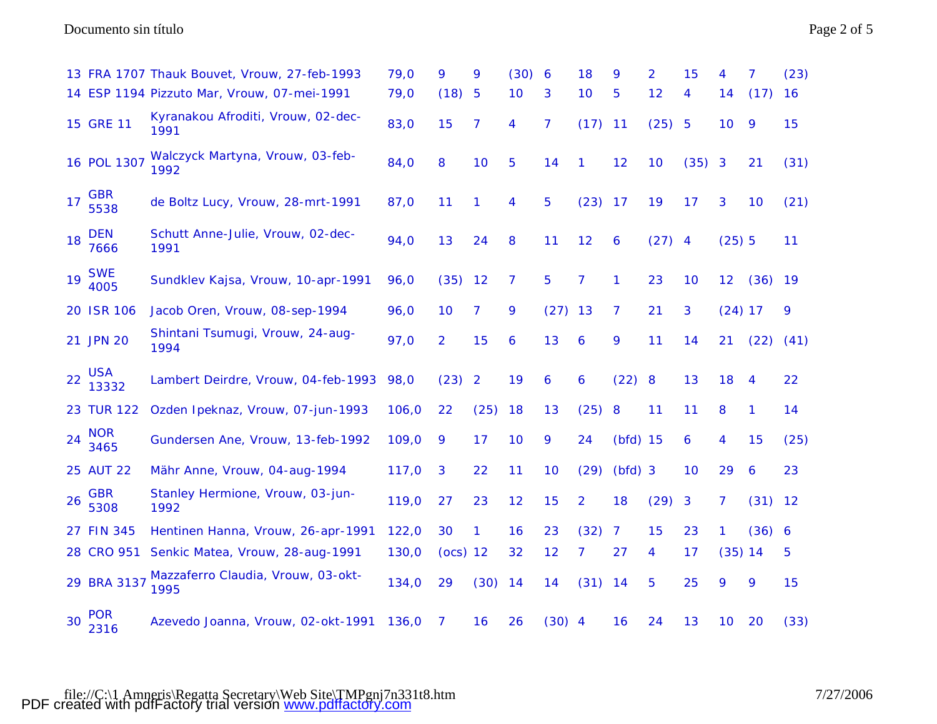### Documento sin título Page 2 of 5

|    |                     | 13 FRA 1707 Thauk Bouvet, Vrouw, 27-feb-1993 | 79,0  | 9              | 9              | (30) | $\boldsymbol{6}$ | 18             | 9          | $\overline{2}$ | 15   | 4         | 7         | (23) |
|----|---------------------|----------------------------------------------|-------|----------------|----------------|------|------------------|----------------|------------|----------------|------|-----------|-----------|------|
|    |                     | 14 ESP 1194 Pizzuto Mar, Vrouw, 07-mei-1991  | 79,0  | (18)           | 5              | 10   | 3                | 10             | 5          | 12             | 4    | 14        | (17)      | 16   |
|    | 15 GRE 11           | Kyranakou Afroditi, Vrouw, 02-dec-<br>1991   | 83,0  | 15             | $\overline{7}$ | 4    | $\overline{7}$   | (17)           | 11         | (25) 5         |      | 10        | 9         | 15   |
|    | 16 POL 1307         | Walczyck Martyna, Vrouw, 03-feb-<br>1992     | 84,0  | 8              | 10             | 5    | 14               | 1              | 12         | 10             | (35) | 3         | 21        | (31) |
| 17 | <b>GBR</b><br>5538  | de Boltz Lucy, Vrouw, 28-mrt-1991            | 87,0  | 11             | 1              | 4    | 5                | (23)           | 17         | 19             | 17   | 3         | 10        | (21) |
| 18 | <b>DEN</b><br>7666  | Schutt Anne-Julie, Vrouw, 02-dec-<br>1991    | 94,0  | 13             | 24             | 8    | 11               | 12             | 6          | $(27)$ 4       |      | (25) 5    |           | 11   |
| 19 | <b>SWE</b><br>4005  | Sundklev Kajsa, Vrouw, 10-apr-1991           | 96,0  | (35)           | 12             | 7    | 5                | 7              | 1          | 23             | 10   | 12        | $(36)$ 19 |      |
|    | 20 ISR 106          | Jacob Oren, Vrouw, 08-sep-1994               | 96,0  | 10             | 7              | 9    | $(27)$ 13        |                | 7          | 21             | 3    | $(24)$ 17 |           | 9    |
|    | 21 JPN 20           | Shintani Tsumugi, Vrouw, 24-aug-<br>1994     | 97,0  | $\overline{2}$ | 15             | 6    | 13               | 6              | 9          | 11             | 14   | 21        | (22)      | (41) |
| 22 | <b>USA</b><br>13332 | Lambert Deirdre, Vrouw, 04-feb-1993          | 98,0  | (23)           | $\overline{2}$ | 19   | 6                | 6              | (22) 8     |                | 13   | 18        | 4         | 22   |
|    | <b>23 TUR 122</b>   | Ozden Ipeknaz, Vrouw, 07-jun-1993            | 106,0 | 22             | (25)           | 18   | 13               | (25)           | 8          | 11             | 11   | 8         | 1         | 14   |
| 24 | <b>NOR</b><br>3465  | Gundersen Ane, Vrouw, 13-feb-1992            | 109,0 | 9              | 17             | 10   | 9                | 24             | $(bfd)$ 15 |                | 6    | 4         | 15        | (25) |
|    | <b>25 AUT 22</b>    | Mähr Anne, Vrouw, 04-aug-1994                | 117,0 | 3              | 22             | 11   | 10               | (29)           | $(bfd)$ 3  |                | 10   | 29        | 6         | 23   |
| 26 | <b>GBR</b><br>5308  | Stanley Hermione, Vrouw, 03-jun-<br>1992     | 119,0 | 27             | 23             | 12   | 15               | $\overline{2}$ | 18         | (29)           | 3    | 7         | (31)      | 12   |
|    | 27 FIN 345          | Hentinen Hanna, Vrouw, 26-apr-1991           | 122,0 | 30             | 1              | 16   | 23               | (32)           | 7          | 15             | 23   | 1         | (36) 6    |      |
|    | 28 CRO 951          | Senkic Matea, Vrouw, 28-aug-1991             | 130,0 | (ocs) 12       |                | 32   | 12               | 7              | 27         | 4              | 17   | (35) 14   |           | 5    |
|    | 29 BRA 3137         | Mazzaferro Claudia, Vrouw, 03-okt-<br>1995   | 134,0 | 29             | (30)           | 14   | 14               | (31)           | 14         | 5              | 25   | 9         | 9         | 15   |
| 30 | <b>POR</b><br>2316  | Azevedo Joanna, Vrouw, 02-okt-1991           | 136,0 | 7              | 16             | 26   | $(30)$ 4         |                | 16         | 24             | 13   | 10        | 20        | (33) |

file://C:\1 Amneris\Regatta Secretary\Web Site\TMPgnj7n331t8.htm 7/27/2006 PDF created with pdfFactory trial version [www.pdffactory.com](http://www.pdffactory.com)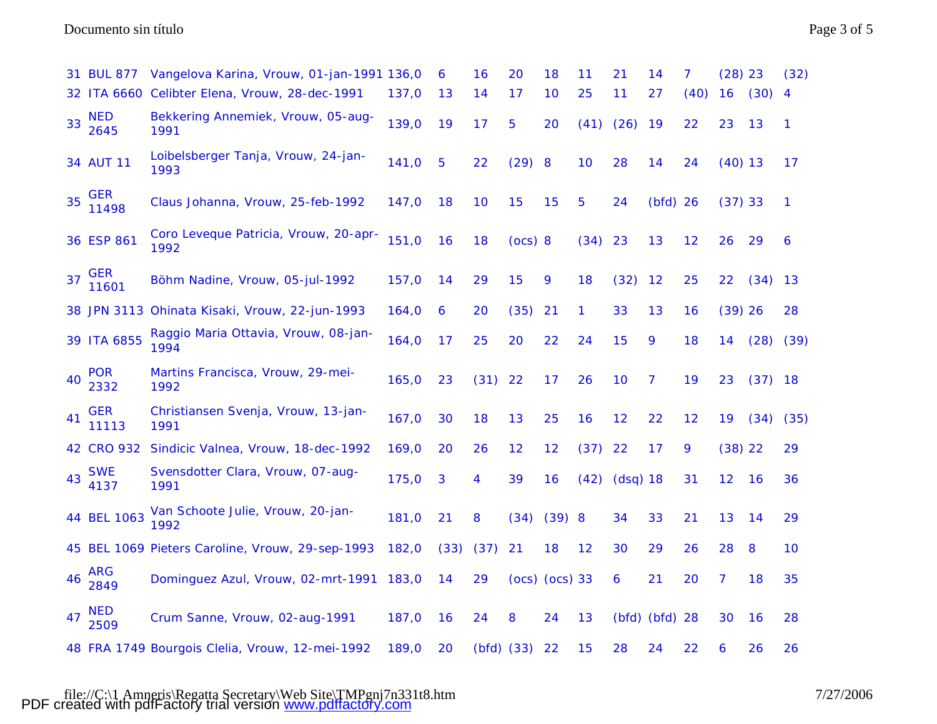Documento sin título Page 3 of 5

|    | 31 BUL 877          | Vangelova Karina, Vrouw, 01-jan-1991 136,0       |       | 6    | 16             | 20       | 18                 | 11   | 21       | 14             | 7    | $(28)$ 23 |           | (32)           |
|----|---------------------|--------------------------------------------------|-------|------|----------------|----------|--------------------|------|----------|----------------|------|-----------|-----------|----------------|
|    |                     | 32 ITA 6660 Celibter Elena, Vrouw, 28-dec-1991   | 137,0 | 13   | 14             | 17       | 10                 | 25   | 11       | 27             | (40) | 16        | (30)      | $\overline{4}$ |
| 33 | <b>NED</b><br>2645  | Bekkering Annemiek, Vrouw, 05-aug-<br>1991       | 139,0 | 19   | 17             | 5        | 20                 | (41) | (26)     | 19             | 22   | 23        | 13        | $\mathbf{1}$   |
|    | 34 AUT 11           | Loibelsberger Tanja, Vrouw, 24-jan-<br>1993      | 141,0 | 5    | 22             | $(29)$ 8 |                    | 10   | 28       | 14             | 24   | $(40)$ 13 |           | 17             |
| 35 | GER<br>11498        | Claus Johanna, Vrouw, 25-feb-1992                | 147,0 | 18   | 10             | 15       | 15                 | 5    | 24       | $(bfd)$ 26     |      | (37) 33   |           | $\mathbf{1}$   |
|    | 36 ESP 861          | Coro Leveque Patricia, Vrouw, 20-apr-<br>1992    | 151,0 | 16   | 18             | (ocs) 8  |                    | (34) | 23       | 13             | 12   | 26        | 29        | 6              |
| 37 | <b>GER</b><br>11601 | Böhm Nadine, Vrouw, 05-jul-1992                  | 157,0 | 14   | 29             | 15       | 9                  | 18   | (32)     | 12             | 25   | 22        | (34)      | 13             |
|    |                     | 38 JPN 3113 Ohinata Kisaki, Vrouw, 22-jun-1993   | 164,0 | 6    | 20             | (35)     | 21                 | 1    | 33       | 13             | 16   | $(39)$ 26 |           | 28             |
|    | 39 ITA 6855         | Raggio Maria Ottavia, Vrouw, 08-jan-<br>1994     | 164,0 | 17   | 25             | 20       | 22                 | 24   | 15       | 9              | 18   | 14        | (28)      | (39)           |
| 40 | <b>POR</b><br>2332  | Martins Francisca, Vrouw, 29-mei-<br>1992        | 165,0 | 23   | (31)           | 22       | 17                 | 26   | 10       | 7              | 19   | 23        | (37)      | <b>18</b>      |
| 41 | <b>GER</b><br>11113 | Christiansen Svenja, Vrouw, 13-jan-<br>1991      | 167,0 | 30   | 18             | 13       | 25                 | 16   | 12       | 22             | 12   | 19        | (34)      | (35)           |
|    | 42 CRO 932          | Sindicic Valnea, Vrouw, 18-dec-1992              | 169,0 | 20   | 26             | 12       | 12                 | (37) | 22       | 17             | 9    | $(38)$ 22 |           | 29             |
| 43 | <b>SWE</b><br>4137  | Svensdotter Clara, Vrouw, 07-aug-<br>1991        | 175,0 | 3    | 4              | 39       | 16                 | (42) | (dsq) 18 |                | 31   | 12        | <b>16</b> | 36             |
|    | 44 BEL 1063         | Van Schoote Julie, Vrouw, 20-jan-<br>1992        | 181,0 | 21   | 8              | (34)     | $(39)$ 8           |      | 34       | 33             | 21   | 13        | 14        | 29             |
|    |                     | 45 BEL 1069 Pieters Caroline, Vrouw, 29-sep-1993 | 182,0 | (33) | (37)           | 21       | 18                 | 12   | 30       | 29             | 26   | 28        | 8         | 10             |
| 46 | ARG<br>2849         | Dominguez Azul, Vrouw, 02-mrt-1991               | 183,0 | 14   | 29             |          | $(ocs)$ $(ocs)$ 33 |      | 6        | 21             | 20   | 7         | 18        | 35             |
| 47 | <b>NED</b><br>2509  | Crum Sanne, Vrouw, 02-aug-1991                   | 187,0 | 16   | 24             | 8        | 24                 | 13   |          | (bfd) (bfd) 28 |      | 30        | 16        | 28             |
|    |                     | 48 FRA 1749 Bourgois Clelia, Vrouw, 12-mei-1992  | 189,0 | 20   | $(bfd)$ $(33)$ |          | 22                 | 15   | 28       | 24             | 22   | 6         | 26        | 26             |

file://C:\1 Amneris\Regatta Secretary\Web Site\TMPgnj7n331t8.htm 7/27/2006 PDF created with pdfFactory trial version [www.pdffactory.com](http://www.pdffactory.com)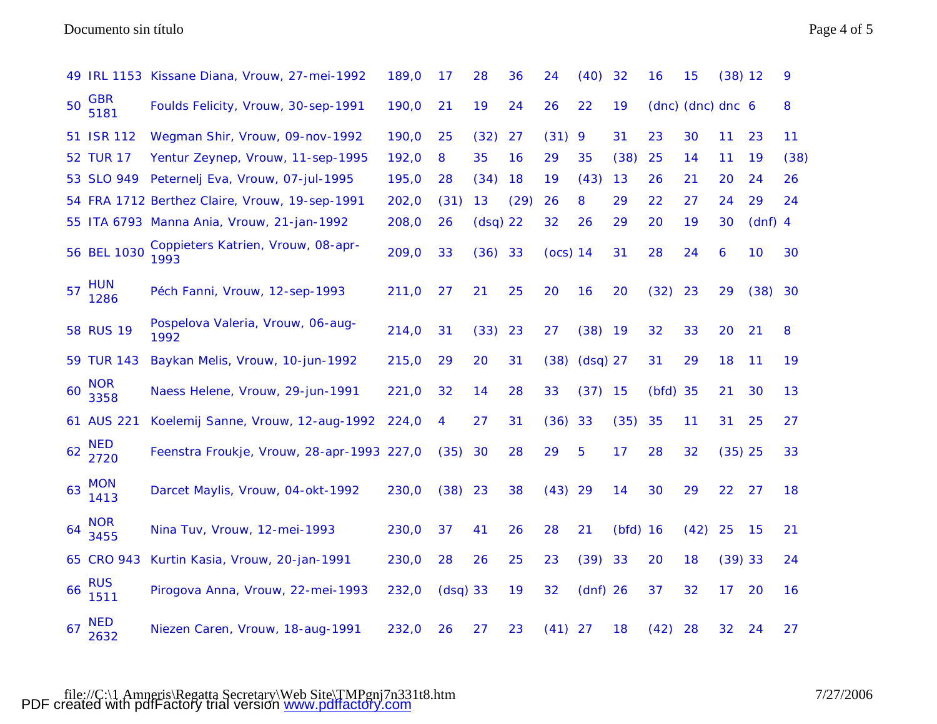### Documento sin título Page 4 of 5

|    |                    | 49 IRL 1153 Kissane Diana, Vrouw, 27-mei-1992  | 189,0 | 17         | 28         | 36   | 24        | (40)       | 32         | 16         | 15                | $(38)$ 12 |           | 9    |
|----|--------------------|------------------------------------------------|-------|------------|------------|------|-----------|------------|------------|------------|-------------------|-----------|-----------|------|
| 50 | <b>GBR</b><br>5181 | Foulds Felicity, Vrouw, 30-sep-1991            | 190,0 | 21         | 19         | 24   | 26        | 22         | 19         |            | (dnc) (dnc) dnc 6 |           |           | 8    |
|    | 51 ISR 112         | Wegman Shir, Vrouw, 09-nov-1992                | 190,0 | 25         | (32)       | 27   | (31)      | 9          | 31         | 23         | 30                | 11        | 23        | 11   |
|    | <b>52 TUR 17</b>   | Yentur Zeynep, Vrouw, 11-sep-1995              | 192,0 | 8          | 35         | 16   | 29        | 35         | (38)       | 25         | 14                | 11        | 19        | (38) |
|    | 53 SLO 949         | Peternelj Eva, Vrouw, 07-jul-1995              | 195,0 | 28         | (34)       | 18   | 19        | (43)       | 13         | 26         | 21                | 20        | 24        | 26   |
|    |                    | 54 FRA 1712 Berthez Claire, Vrouw, 19-sep-1991 | 202,0 | (31)       | 13         | (29) | 26        | 8          | 29         | 22         | 27                | 24        | 29        | 24   |
|    |                    | 55 ITA 6793 Manna Ania, Vrouw, 21-jan-1992     | 208,0 | 26         | $(dsq)$ 22 |      | 32        | 26         | 29         | 20         | 19                | 30        | $(dnf)$ 4 |      |
|    | 56 BEL 1030        | Coppieters Katrien, Vrouw, 08-apr-<br>1993     | 209,0 | 33         | $(36)$ 33  |      | (ocs) 14  |            | 31         | 28         | 24                | 6         | 10        | 30   |
| 57 | <b>HUN</b><br>1286 | Péch Fanni, Vrouw, 12-sep-1993                 | 211,0 | 27         | 21         | 25   | 20        | 16         | 20         | (32)       | 23                | 29        | (38)      | 30   |
|    | <b>58 RUS 19</b>   | Pospelova Valeria, Vrouw, 06-aug-<br>1992      | 214,0 | 31         | (33)       | 23   | 27        | $(38)$ 19  |            | 32         | 33                | 20        | 21        | 8    |
|    | 59 TUR 143         | Baykan Melis, Vrouw, 10-jun-1992               | 215,0 | 29         | 20         | 31   | (38)      | $(dsq)$ 27 |            | 31         | 29                | 18        | 11        | 19   |
| 60 | <b>NOR</b><br>3358 | Naess Helene, Vrouw, 29-jun-1991               | 221,0 | 32         | 14         | 28   | 33        | (37)       | 15         | $(bfd)$ 35 |                   | 21        | 30        | 13   |
|    | 61 AUS 221         | Koelemij Sanne, Vrouw, 12-aug-1992             | 224,0 | 4          | 27         | 31   | $(36)$ 33 |            | (35)       | 35         | 11                | 31        | 25        | 27   |
| 62 | <b>NED</b><br>2720 | Feenstra Froukje, Vrouw, 28-apr-1993 227,0     |       | (35)       | 30         | 28   | 29        | 5          | 17         | 28         | 32                | $(35)$ 25 |           | 33   |
| 63 | <b>MON</b><br>1413 | Darcet Maylis, Vrouw, 04-okt-1992              | 230,0 | $(38)$ 23  |            | 38   | $(43)$ 29 |            | 14         | 30         | 29                | 22        | 27        | 18   |
| 64 | <b>NOR</b><br>3455 | Nina Tuv, Vrouw, 12-mei-1993                   | 230,0 | 37         | 41         | 26   | 28        | 21         | $(bfd)$ 16 |            | (42)              | 25        | 15        | 21   |
|    | 65 CRO 943         | Kurtin Kasia, Vrouw, 20-jan-1991               | 230,0 | 28         | 26         | 25   | 23        | (39)       | 33         | 20         | 18                | $(39)$ 33 |           | 24   |
| 66 | <b>RUS</b><br>1511 | Pirogova Anna, Vrouw, 22-mei-1993              | 232,0 | $(dsq)$ 33 |            | 19   | 32        | $(dnf)$ 26 |            | 37         | 32                | 17        | 20        | 16   |
| 67 | <b>NED</b><br>2632 | Niezen Caren, Vrouw, 18-aug-1991               | 232,0 | 26         | 27         | 23   | $(41)$ 27 |            | 18         | (42)       | 28                | 32        | 24        | 27   |